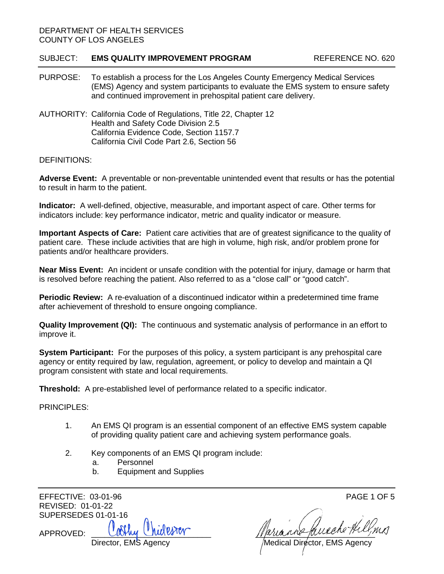## DEPARTMENT OF HEALTH SERVICES COUNTY OF LOS ANGELES

## SUBJECT: **EMS QUALITY IMPROVEMENT PROGRAM** REFERENCE NO. 620

- PURPOSE: To establish a process for the Los Angeles County Emergency Medical Services (EMS) Agency and system participants to evaluate the EMS system to ensure safety and continued improvement in prehospital patient care delivery.
- AUTHORITY: California Code of Regulations, Title 22, Chapter 12 Health and Safety Code Division 2.5 California Evidence Code, Section 1157.7 California Civil Code Part 2.6, Section 56

## DEFINITIONS:

**Adverse Event:** A preventable or non-preventable unintended event that results or has the potential to result in harm to the patient.

**Indicator:** A well-defined, objective, measurable, and important aspect of care. Other terms for indicators include: key performance indicator, metric and quality indicator or measure.

**Important Aspects of Care:** Patient care activities that are of greatest significance to the quality of patient care. These include activities that are high in volume, high risk, and/or problem prone for patients and/or healthcare providers.

**Near Miss Event:** An incident or unsafe condition with the potential for injury, damage or harm that is resolved before reaching the patient. Also referred to as a "close call" or "good catch".

**Periodic Review:** A re-evaluation of a discontinued indicator within a predetermined time frame after achievement of threshold to ensure ongoing compliance.

**Quality Improvement (QI):** The continuous and systematic analysis of performance in an effort to improve it.

**System Participant:** For the purposes of this policy, a system participant is any prehospital care agency or entity required by law, regulation, agreement, or policy to develop and maintain a QI program consistent with state and local requirements.

**Threshold:** A pre-established level of performance related to a specific indicator.

PRINCIPLES:

- 1. An EMS QI program is an essential component of an effective EMS system capable of providing quality patient care and achieving system performance goals.
- 2. Key components of an EMS QI program include:
	- a. Personnel
	- b. Equipment and Supplies

EFFECTIVE: 03-01-96 PAGE 1 OF 5 REVISED: 01-01-22 SUPERSEDES 01-01-16

APPROVED: \_\_\_\_\_\_\_\_\_\_\_\_\_\_\_\_\_\_\_\_\_\_\_\_\_\_\_ \_\_\_\_\_\_\_\_\_\_\_\_\_\_\_\_\_\_\_\_\_\_\_\_\_\_\_

Director, EMS Agency \_\_\_\_\_\_\_\_\_\_\_\_\_\_\_\_\_\_\_\_\_\_/Medical Director, EMS Agency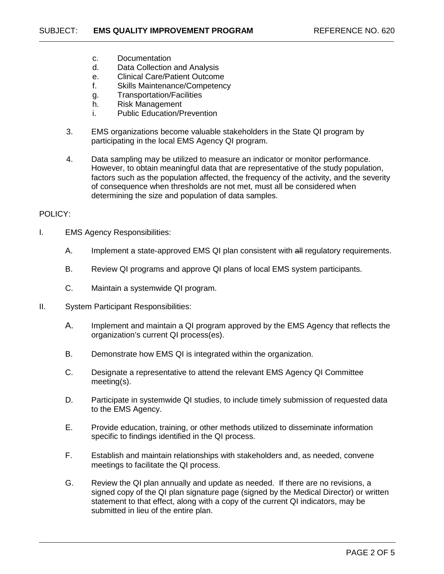- c. Documentation
- d. Data Collection and Analysis
- e. Clinical Care/Patient Outcome
- f. Skills Maintenance/Competency
- g. Transportation/Facilities
- h. Risk Management
- i. Public Education/Prevention
- 3. EMS organizations become valuable stakeholders in the State QI program by participating in the local EMS Agency QI program.
- 4. Data sampling may be utilized to measure an indicator or monitor performance. However, to obtain meaningful data that are representative of the study population, factors such as the population affected, the frequency of the activity, and the severity of consequence when thresholds are not met, must all be considered when determining the size and population of data samples.

## POLICY:

- I. EMS Agency Responsibilities:
	- A. Implement a state-approved EMS QI plan consistent with all regulatory requirements.
	- B. Review QI programs and approve QI plans of local EMS system participants.
	- C. Maintain a systemwide QI program.
- II. System Participant Responsibilities:
	- A. Implement and maintain a QI program approved by the EMS Agency that reflects the organization's current QI process(es).
	- B. Demonstrate how EMS QI is integrated within the organization.
	- C. Designate a representative to attend the relevant EMS Agency QI Committee meeting(s).
	- D. Participate in systemwide QI studies, to include timely submission of requested data to the EMS Agency.
	- E. Provide education, training, or other methods utilized to disseminate information specific to findings identified in the QI process.
	- F. Establish and maintain relationships with stakeholders and, as needed, convene meetings to facilitate the QI process.
	- G. Review the QI plan annually and update as needed. If there are no revisions, a signed copy of the QI plan signature page (signed by the Medical Director) or written statement to that effect, along with a copy of the current QI indicators, may be submitted in lieu of the entire plan.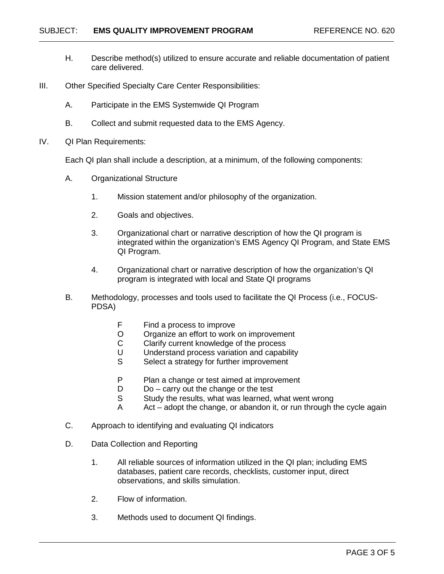- H. Describe method(s) utilized to ensure accurate and reliable documentation of patient care delivered.
- III. Other Specified Specialty Care Center Responsibilities:
	- A. Participate in the EMS Systemwide QI Program
	- B. Collect and submit requested data to the EMS Agency.
- IV. QI Plan Requirements:

Each QI plan shall include a description, at a minimum, of the following components:

- A. Organizational Structure
	- 1. Mission statement and/or philosophy of the organization.
	- 2. Goals and objectives.
	- 3. Organizational chart or narrative description of how the QI program is integrated within the organization's EMS Agency QI Program, and State EMS QI Program.
	- 4. Organizational chart or narrative description of how the organization's QI program is integrated with local and State QI programs
- B. Methodology, processes and tools used to facilitate the QI Process (i.e., FOCUS-PDSA)
	- F Find a process to improve
	- O Organize an effort to work on improvement<br>C Clarify current knowledge of the process
	- Clarify current knowledge of the process
	- U Understand process variation and capability<br>S Select a strategy for further improvement
	- Select a strategy for further improvement
	- P Plan a change or test aimed at improvement
	- $D$  Do carry out the change or the test
	- S Study the results, what was learned, what went wrong
	- A Act adopt the change, or abandon it, or run through the cycle again
- C. Approach to identifying and evaluating QI indicators
- D. Data Collection and Reporting
	- 1. All reliable sources of information utilized in the QI plan; including EMS databases, patient care records, checklists, customer input, direct observations, and skills simulation.
	- 2. Flow of information.
	- 3. Methods used to document QI findings.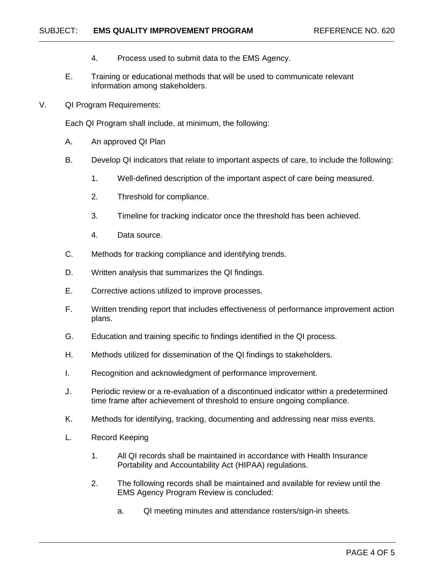- 4. Process used to submit data to the EMS Agency.
- E. Training or educational methods that will be used to communicate relevant information among stakeholders.
- V. QI Program Requirements:

Each QI Program shall include, at minimum, the following:

- A. An approved QI Plan
- B. Develop QI indicators that relate to important aspects of care, to include the following:
	- 1. Well-defined description of the important aspect of care being measured.
	- 2. Threshold for compliance.
	- 3. Timeline for tracking indicator once the threshold has been achieved.
	- 4. Data source.
- C. Methods for tracking compliance and identifying trends.
- D. Written analysis that summarizes the QI findings.
- E. Corrective actions utilized to improve processes.
- F. Written trending report that includes effectiveness of performance improvement action plans.
- G. Education and training specific to findings identified in the QI process.
- H. Methods utilized for dissemination of the QI findings to stakeholders.
- I. Recognition and acknowledgment of performance improvement.
- J. Periodic review or a re-evaluation of a discontinued indicator within a predetermined time frame after achievement of threshold to ensure ongoing compliance.
- K. Methods for identifying, tracking, documenting and addressing near miss events.
- L. Record Keeping
	- 1. All QI records shall be maintained in accordance with Health Insurance Portability and Accountability Act (HIPAA) regulations.
	- 2. The following records shall be maintained and available for review until the EMS Agency Program Review is concluded:
		- a. QI meeting minutes and attendance rosters/sign-in sheets.